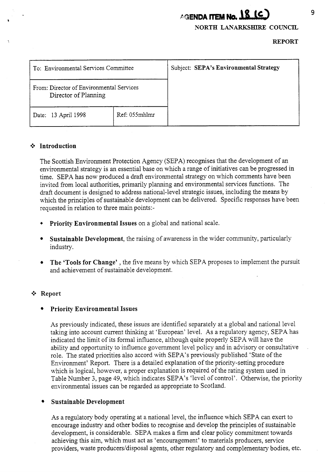# **AGENDA ITEM No. 18 (C)**

**NORTH** LANARKSHIRE **COUNCIL** 

**REPORT** 

| To: Environmental Services Committee                             |               | Subject: SEPA's Environmental Strategy |
|------------------------------------------------------------------|---------------|----------------------------------------|
| From: Director of Environmental Services<br>Director of Planning |               |                                        |
| Date: 13 April 1998                                              | Ref: 055mhlmr |                                        |

#### \*:\* **Introduction**

The Scottish Environment Protection Agency (SEPA) recognises that the development of an environmental strategy is an essential base on which a range of initiatives can be progressed in time. SEPA has now produced a draft environmental strategy on which comments have been invited from local authorities, primarily planning and environmental services functions. The draft document is designed to address national-level strategic issues, including the means by which the principles of sustainable development can be delivered. Specific responses have been requested in relation to three main points:-

- \* **Priority Environmental Issues** on a global and national scale.
- **Sustainable Development,** the raising of awareness in the wider community, particularly industry.
- **The 'Tools for Change'** , the five means by which SEPA proposes to implement the pursuit and achievement of sustainable development.

# \*:\* **Report**

# **Priority Environmental Issues**

As previously indicated, these issues are identified separately at a global and national level taking into account current thinking at 'European' level. As a regulatory agency, SEPA has indicated the limit of its formal influence, although quite properly SEPA will have the ability and opportunity to influence government level policy and in advisory or consultative role. The stated priorities also accord with SEPA's previously published 'State of the Environment' Report. There is a detailed explanation of the priority-setting procedure which is logical, however, a proper explanation is required of the rating system used in Table Number 3, page 49, which indicates SEPA's 'level of control'. Otherwise, the priority environmental issues can be regarded as appropriate to Scotland.

# **Sustainable Development**

As a regulatory body operating at a national level, the influence which SEPA can exert to encourage industry and other bodies to recognise and develop the principles of sustainable development, is considerable. SEPA makes a firm and clear policy commitment towards achieving this aim, which must act as 'encouragement' to materials producers, service providers, waste producers/disposal agents, other regulatory and complementary bodies, etc.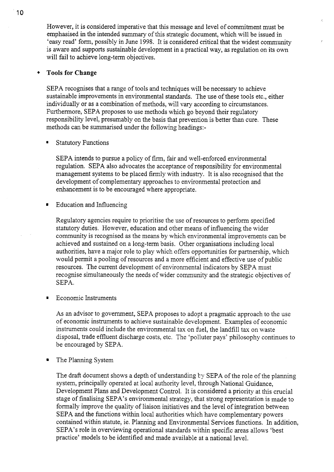However, it is considered imperative that this message and level of commitment must be emphasised in the intended *summary* of this strategic document, which will be issued in 'easy read' form, possibly in June 1998. It is considered critical that the widest community is aware and supports sustainable development in a practical way, as regulation on its own will fail to achieve long-term objectives.

 $\mathcal{L}$ 

### + **Tools for Change**

SEPA recognises that a range of tools and techniques will be necessary to achieve sustainable improvements in environmental standards. The use of these tools etc., either individually or as a combination of methods, will vary according to circumstances. Furthermore, SEPA proposes to use methods which go beyond their regulatory responsibility level, presumably on the basis that prevention is better than cure. These methods can be summarised under the following headings:-

#### ' Statutory Functions

SEPA intends to pursue a policy of firm, fair and well-enforced environmental regulation. SEPA also advocates the acceptance of responsibility for environmental management systems to be placed firmly with industry. It is also recognised that the development of complementary approaches to environmental protection and enhancement is to be encouraged where appropriate.

**Education and Influencing** 

Regulatory agencies require to prioritise the use of resources to perform specified statutory duties. However, education and other means of influencing the wider community is recognised as the means by which environmental improvements can be achieved and sustained on a long-term basis. Other organisations including local authorities, have a major role to play which offers opportunities for partnership, which would permit a pooling of resources and a more efficient and effective use of public resources. The current development of environmental indicators by SEPA must recognise simultaneously the needs of wider community and the strategic objectives of SEPA.

Economic Instruments

As an advisor to government, SEPA proposes to adopt a pragmatic approach to the use of economic instruments to achieve sustainable development. Examples of economic instruments could include the environmental tax on fuel, the landfill tax on waste disposal, trade effluent discharge costs, etc. The 'polluter pays' philosophy continues to be encouraged by SEPA.

The Planning System  $\blacksquare$ 

> The draft document shows a depth of understanding by SEPA of the role of the planning system, principally operated at local authority level, through National Guidance, Development Plans and Development Control. It is considered a priority at this crucial stage of finalising SEPA's environmental strategy, that strong representation is made to formally improve the quality of liaison initiatives and the level of integration between SEPA and the fimctions within local authorities which have complementary powers contained within statute, ie. Planning and Environmental Services functions. In addition, SEPA's role in overviewing operational standards within specific areas allows 'best practice' models to be identified and made available at a national level.